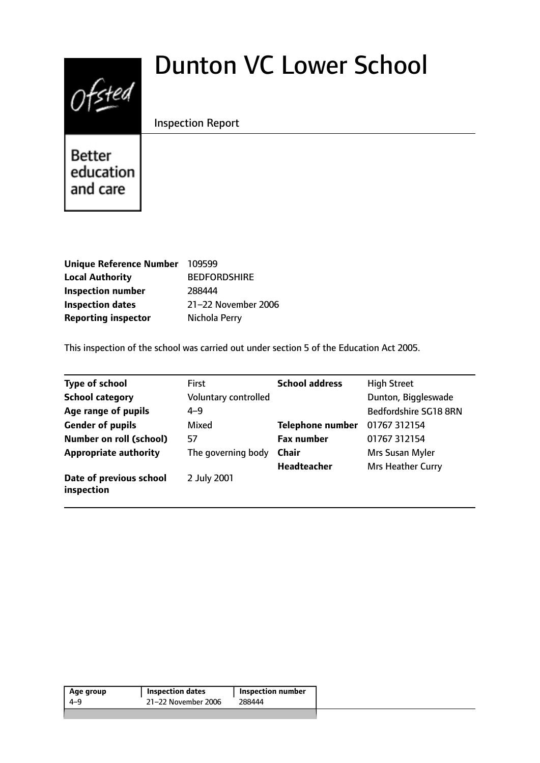# $0$ fsted

# Dunton VC Lower School

# Inspection Report

Better education and care

| Unique Reference Number 109599 |                     |
|--------------------------------|---------------------|
| <b>Local Authority</b>         | <b>BEDFORDSHIRE</b> |
| <b>Inspection number</b>       | 288444              |
| <b>Inspection dates</b>        | 21-22 November 2006 |
| <b>Reporting inspector</b>     | Nichola Perry       |

This inspection of the school was carried out under section 5 of the Education Act 2005.

| <b>Type of school</b>                 | <b>First</b>         | <b>School address</b>   | <b>High Street</b>    |
|---------------------------------------|----------------------|-------------------------|-----------------------|
| <b>School category</b>                | Voluntary controlled |                         | Dunton, Biggleswade   |
| Age range of pupils                   | $4 - 9$              |                         | Bedfordshire SG18 8RN |
| <b>Gender of pupils</b>               | Mixed                | <b>Telephone number</b> | 01767 312154          |
| <b>Number on roll (school)</b>        | 57                   | <b>Fax number</b>       | 01767 312154          |
| <b>Appropriate authority</b>          | The governing body   | <b>Chair</b>            | Mrs Susan Myler       |
|                                       |                      | <b>Headteacher</b>      | Mrs Heather Curry     |
| Date of previous school<br>inspection | 2 July 2001          |                         |                       |

|                                      | <b>Inspection number</b> |
|--------------------------------------|--------------------------|
| 21-22 November 2006<br>288444<br>4-9 |                          |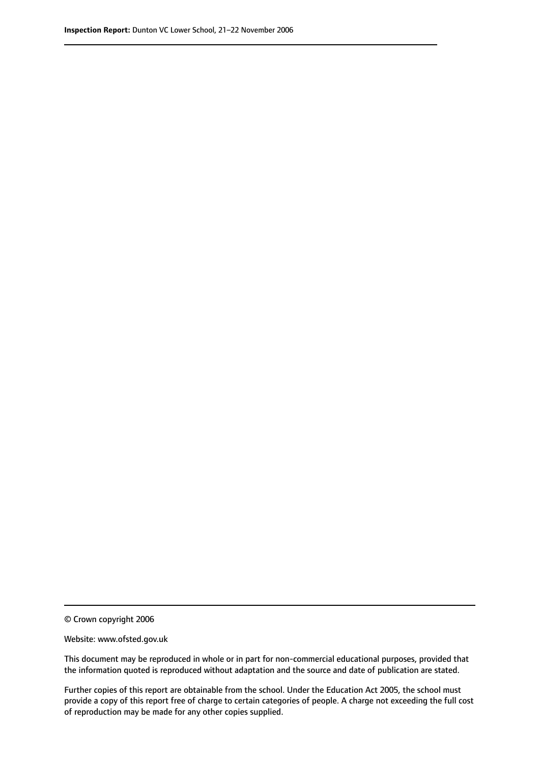© Crown copyright 2006

Website: www.ofsted.gov.uk

This document may be reproduced in whole or in part for non-commercial educational purposes, provided that the information quoted is reproduced without adaptation and the source and date of publication are stated.

Further copies of this report are obtainable from the school. Under the Education Act 2005, the school must provide a copy of this report free of charge to certain categories of people. A charge not exceeding the full cost of reproduction may be made for any other copies supplied.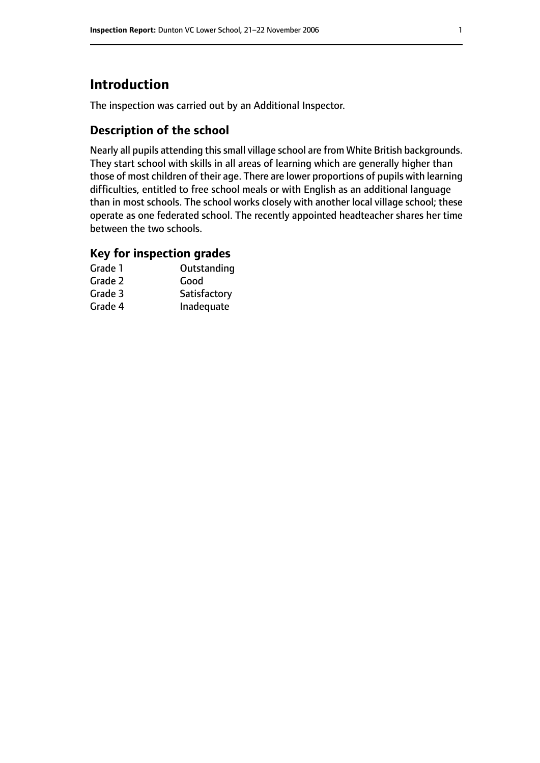# **Introduction**

The inspection was carried out by an Additional Inspector.

# **Description of the school**

Nearly all pupils attending thissmall village school are from White British backgrounds. They start school with skills in all areas of learning which are generally higher than those of most children of their age. There are lower proportions of pupils with learning difficulties, entitled to free school meals or with English as an additional language than in most schools. The school works closely with another local village school; these operate as one federated school. The recently appointed headteacher shares her time between the two schools.

## **Key for inspection grades**

| Grade 1 | Outstanding  |
|---------|--------------|
| Grade 2 | Good         |
| Grade 3 | Satisfactory |
| Grade 4 | Inadequate   |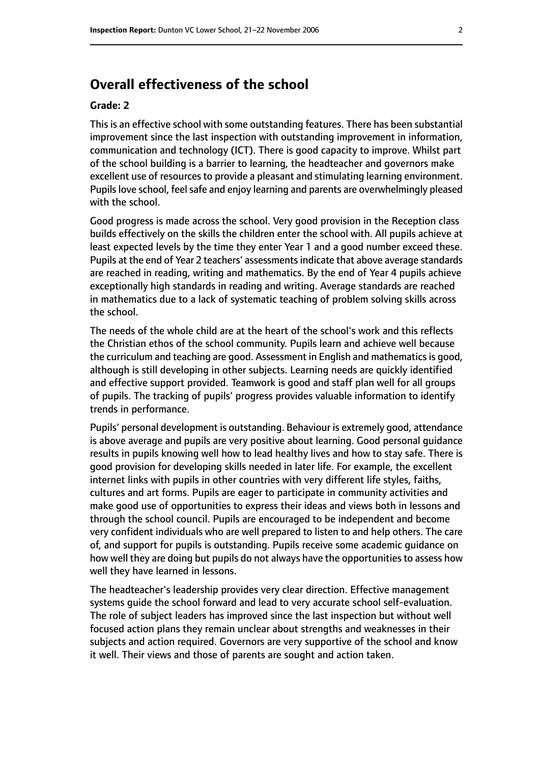# **Overall effectiveness of the school**

#### **Grade: 2**

This is an effective school with some outstanding features. There has been substantial improvement since the last inspection with outstanding improvement in information, communication and technology (ICT). There is good capacity to improve. Whilst part of the school building is a barrier to learning, the headteacher and governors make excellent use of resources to provide a pleasant and stimulating learning environment. Pupils love school, feel safe and enjoy learning and parents are overwhelmingly pleased with the school.

Good progress is made across the school. Very good provision in the Reception class builds effectively on the skills the children enter the school with. All pupils achieve at least expected levels by the time they enter Year 1 and a good number exceed these. Pupils at the end of Year 2 teachers' assessmentsindicate that above average standards are reached in reading, writing and mathematics. By the end of Year 4 pupils achieve exceptionally high standards in reading and writing. Average standards are reached in mathematics due to a lack of systematic teaching of problem solving skills across the school.

The needs of the whole child are at the heart of the school's work and this reflects the Christian ethos of the school community. Pupils learn and achieve well because the curriculum and teaching are good. Assessment in English and mathematics is good, although is still developing in other subjects. Learning needs are quickly identified and effective support provided. Teamwork is good and staff plan well for all groups of pupils. The tracking of pupils' progress provides valuable information to identify trends in performance.

Pupils' personal development is outstanding. Behaviour is extremely good, attendance is above average and pupils are very positive about learning. Good personal guidance results in pupils knowing well how to lead healthy lives and how to stay safe. There is good provision for developing skills needed in later life. For example, the excellent internet links with pupils in other countries with very different life styles, faiths, cultures and art forms. Pupils are eager to participate in community activities and make good use of opportunities to express their ideas and views both in lessons and through the school council. Pupils are encouraged to be independent and become very confident individuals who are well prepared to listen to and help others. The care of, and support for pupils is outstanding. Pupils receive some academic guidance on how well they are doing but pupils do not always have the opportunities to assess how well they have learned in lessons.

The headteacher's leadership provides very clear direction. Effective management systems guide the school forward and lead to very accurate school self-evaluation. The role of subject leaders has improved since the last inspection but without well focused action plans they remain unclear about strengths and weaknesses in their subjects and action required. Governors are very supportive of the school and know it well. Their views and those of parents are sought and action taken.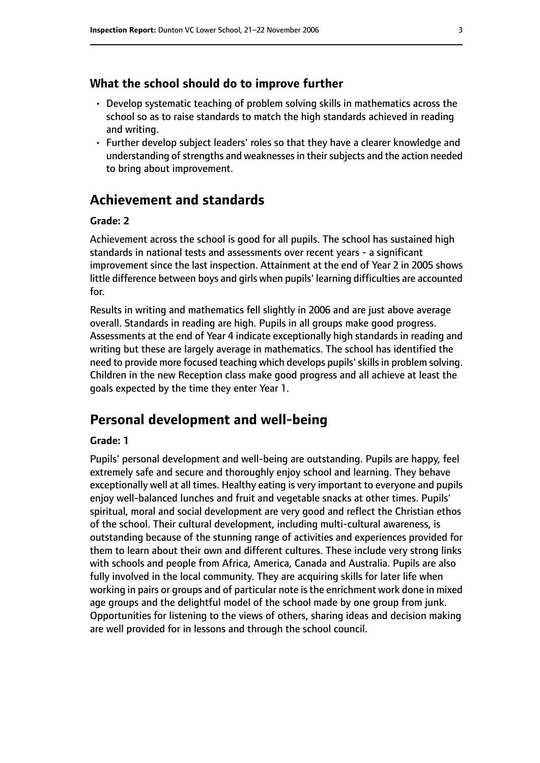#### **What the school should do to improve further**

- Develop systematic teaching of problem solving skills in mathematics across the school so as to raise standards to match the high standards achieved in reading and writing.
- Further develop subject leaders' roles so that they have a clearer knowledge and understanding of strengths and weaknesses in their subjects and the action needed to bring about improvement.

# **Achievement and standards**

#### **Grade: 2**

Achievement across the school is good for all pupils. The school has sustained high standards in national tests and assessments over recent years - a significant improvement since the last inspection. Attainment at the end of Year 2 in 2005 shows little difference between boys and girls when pupils' learning difficulties are accounted for.

Results in writing and mathematics fell slightly in 2006 and are just above average overall. Standards in reading are high. Pupils in all groups make good progress. Assessments at the end of Year 4 indicate exceptionally high standards in reading and writing but these are largely average in mathematics. The school has identified the need to provide more focused teaching which develops pupils' skills in problem solving. Children in the new Reception class make good progress and all achieve at least the goals expected by the time they enter Year 1.

# **Personal development and well-being**

#### **Grade: 1**

Pupils' personal development and well-being are outstanding. Pupils are happy, feel extremely safe and secure and thoroughly enjoy school and learning. They behave exceptionally well at all times. Healthy eating is very important to everyone and pupils enjoy well-balanced lunches and fruit and vegetable snacks at other times. Pupils' spiritual, moral and social development are very good and reflect the Christian ethos of the school. Their cultural development, including multi-cultural awareness, is outstanding because of the stunning range of activities and experiences provided for them to learn about their own and different cultures. These include very strong links with schools and people from Africa, America, Canada and Australia. Pupils are also fully involved in the local community. They are acquiring skills for later life when working in pairs or groups and of particular note is the enrichment work done in mixed age groups and the delightful model of the school made by one group from junk. Opportunities for listening to the views of others, sharing ideas and decision making are well provided for in lessons and through the school council.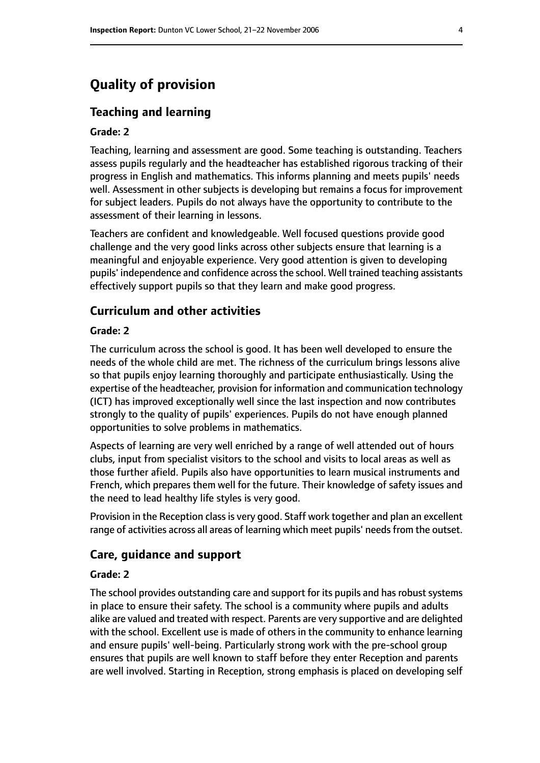# **Quality of provision**

### **Teaching and learning**

#### **Grade: 2**

Teaching, learning and assessment are good. Some teaching is outstanding. Teachers assess pupils regularly and the headteacher has established rigorous tracking of their progress in English and mathematics. This informs planning and meets pupils' needs well. Assessment in other subjects is developing but remains a focus for improvement for subject leaders. Pupils do not always have the opportunity to contribute to the assessment of their learning in lessons.

Teachers are confident and knowledgeable. Well focused questions provide good challenge and the very good links across other subjects ensure that learning is a meaningful and enjoyable experience. Very good attention is given to developing pupils' independence and confidence acrossthe school. Well trained teaching assistants effectively support pupils so that they learn and make good progress.

#### **Curriculum and other activities**

#### **Grade: 2**

The curriculum across the school is good. It has been well developed to ensure the needs of the whole child are met. The richness of the curriculum brings lessons alive so that pupils enjoy learning thoroughly and participate enthusiastically. Using the expertise of the headteacher, provision for information and communication technology (ICT) has improved exceptionally well since the last inspection and now contributes strongly to the quality of pupils' experiences. Pupils do not have enough planned opportunities to solve problems in mathematics.

Aspects of learning are very well enriched by a range of well attended out of hours clubs, input from specialist visitors to the school and visits to local areas as well as those further afield. Pupils also have opportunities to learn musical instruments and French, which prepares them well for the future. Their knowledge of safety issues and the need to lead healthy life styles is very good.

Provision in the Reception class is very good. Staff work together and plan an excellent range of activities across all areas of learning which meet pupils' needs from the outset.

#### **Care, guidance and support**

#### **Grade: 2**

The school provides outstanding care and support for its pupils and has robust systems in place to ensure their safety. The school is a community where pupils and adults alike are valued and treated with respect. Parents are very supportive and are delighted with the school. Excellent use is made of others in the community to enhance learning and ensure pupils' well-being. Particularly strong work with the pre-school group ensures that pupils are well known to staff before they enter Reception and parents are well involved. Starting in Reception, strong emphasis is placed on developing self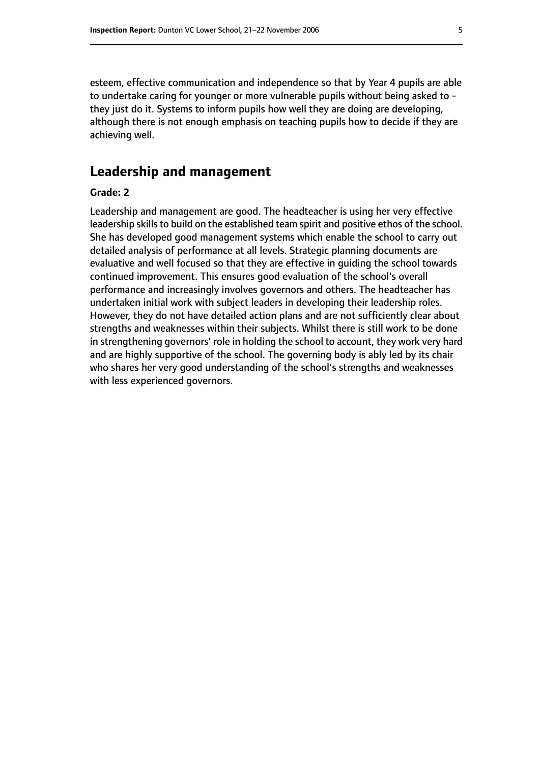esteem, effective communication and independence so that by Year 4 pupils are able to undertake caring for younger or more vulnerable pupils without being asked to they just do it. Systems to inform pupils how well they are doing are developing, although there is not enough emphasis on teaching pupils how to decide if they are achieving well.

# **Leadership and management**

#### **Grade: 2**

Leadership and management are good. The headteacher is using her very effective leadership skills to build on the established team spirit and positive ethos of the school. She has developed good management systems which enable the school to carry out detailed analysis of performance at all levels. Strategic planning documents are evaluative and well focused so that they are effective in guiding the school towards continued improvement. This ensures good evaluation of the school's overall performance and increasingly involves governors and others. The headteacher has undertaken initial work with subject leaders in developing their leadership roles. However, they do not have detailed action plans and are not sufficiently clear about strengths and weaknesses within their subjects. Whilst there is still work to be done in strengthening governors' role in holding the school to account, they work very hard and are highly supportive of the school. The governing body is ably led by its chair who shares her very good understanding of the school's strengths and weaknesses with less experienced governors.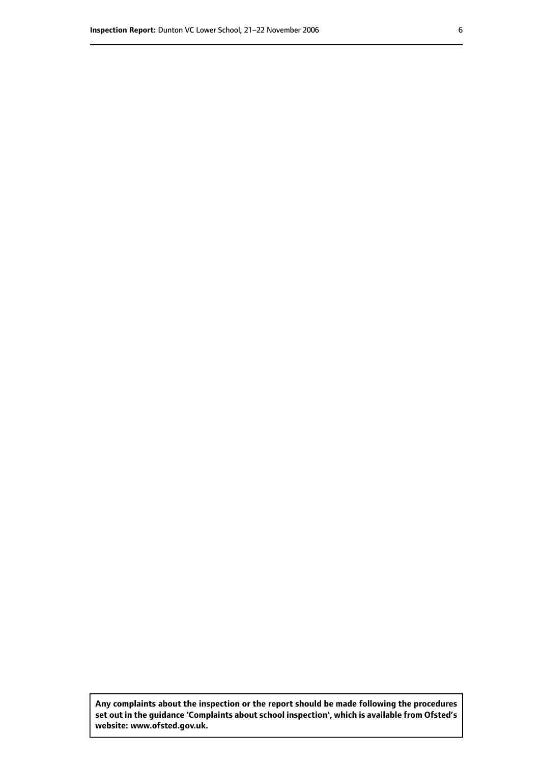**Any complaints about the inspection or the report should be made following the procedures set out inthe guidance 'Complaints about school inspection', whichis available from Ofsted's website: www.ofsted.gov.uk.**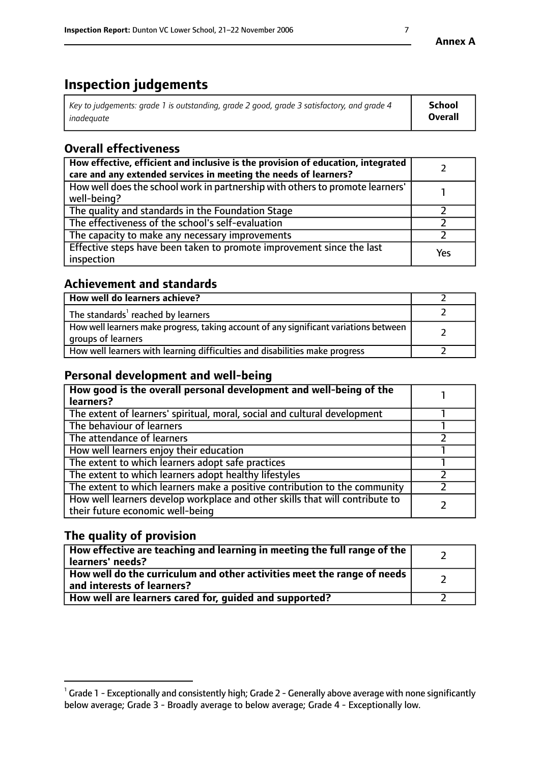# **Inspection judgements**

| Key to judgements: grade 1 is outstanding, grade 2 good, grade 3 satisfactory, and grade 4 | School         |
|--------------------------------------------------------------------------------------------|----------------|
| inadeauate                                                                                 | <b>Overall</b> |

# **Overall effectiveness**

| How effective, efficient and inclusive is the provision of education, integrated<br>care and any extended services in meeting the needs of learners? |     |
|------------------------------------------------------------------------------------------------------------------------------------------------------|-----|
| How well does the school work in partnership with others to promote learners'<br>well-being?                                                         |     |
| The quality and standards in the Foundation Stage                                                                                                    |     |
| The effectiveness of the school's self-evaluation                                                                                                    |     |
| The capacity to make any necessary improvements                                                                                                      |     |
| Effective steps have been taken to promote improvement since the last<br>inspection                                                                  | Yes |

# **Achievement and standards**

| How well do learners achieve?                                                                               |  |
|-------------------------------------------------------------------------------------------------------------|--|
| The standards <sup>1</sup> reached by learners                                                              |  |
| How well learners make progress, taking account of any significant variations between<br>groups of learners |  |
| How well learners with learning difficulties and disabilities make progress                                 |  |

# **Personal development and well-being**

| How good is the overall personal development and well-being of the<br>learners?                                  |  |
|------------------------------------------------------------------------------------------------------------------|--|
|                                                                                                                  |  |
| The extent of learners' spiritual, moral, social and cultural development                                        |  |
| The behaviour of learners                                                                                        |  |
| The attendance of learners                                                                                       |  |
| How well learners enjoy their education                                                                          |  |
| The extent to which learners adopt safe practices                                                                |  |
| The extent to which learners adopt healthy lifestyles                                                            |  |
| The extent to which learners make a positive contribution to the community                                       |  |
| How well learners develop workplace and other skills that will contribute to<br>their future economic well-being |  |

# **The quality of provision**

| How effective are teaching and learning in meeting the full range of the<br>learners' needs?          |  |
|-------------------------------------------------------------------------------------------------------|--|
| How well do the curriculum and other activities meet the range of needs<br>and interests of learners? |  |
| How well are learners cared for, guided and supported?                                                |  |

 $^1$  Grade 1 - Exceptionally and consistently high; Grade 2 - Generally above average with none significantly below average; Grade 3 - Broadly average to below average; Grade 4 - Exceptionally low.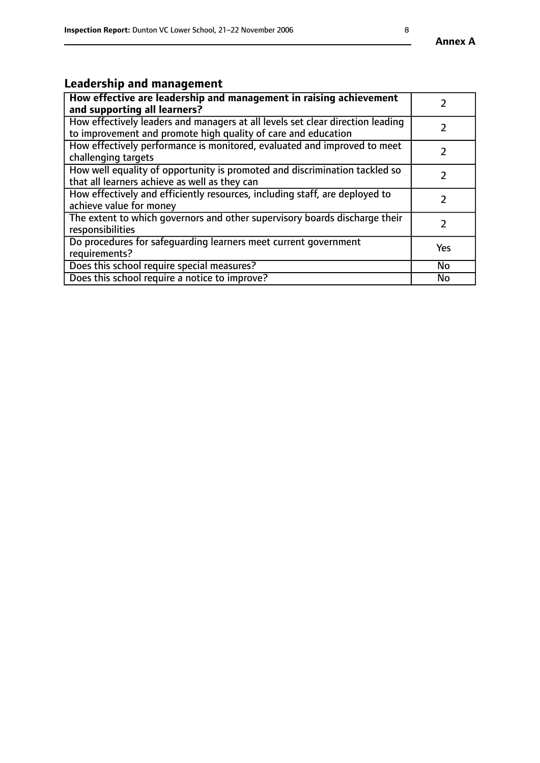# **Leadership and management**

| How effective are leadership and management in raising achievement<br>and supporting all learners?                                              |               |
|-------------------------------------------------------------------------------------------------------------------------------------------------|---------------|
| How effectively leaders and managers at all levels set clear direction leading<br>to improvement and promote high quality of care and education |               |
| How effectively performance is monitored, evaluated and improved to meet<br>challenging targets                                                 | $\mathcal{L}$ |
| How well equality of opportunity is promoted and discrimination tackled so<br>that all learners achieve as well as they can                     |               |
| How effectively and efficiently resources, including staff, are deployed to<br>achieve value for money                                          |               |
| The extent to which governors and other supervisory boards discharge their<br>responsibilities                                                  |               |
| Do procedures for safequarding learners meet current government<br>requirements?                                                                | Yes           |
| Does this school require special measures?                                                                                                      | No            |
| Does this school require a notice to improve?                                                                                                   | <b>No</b>     |